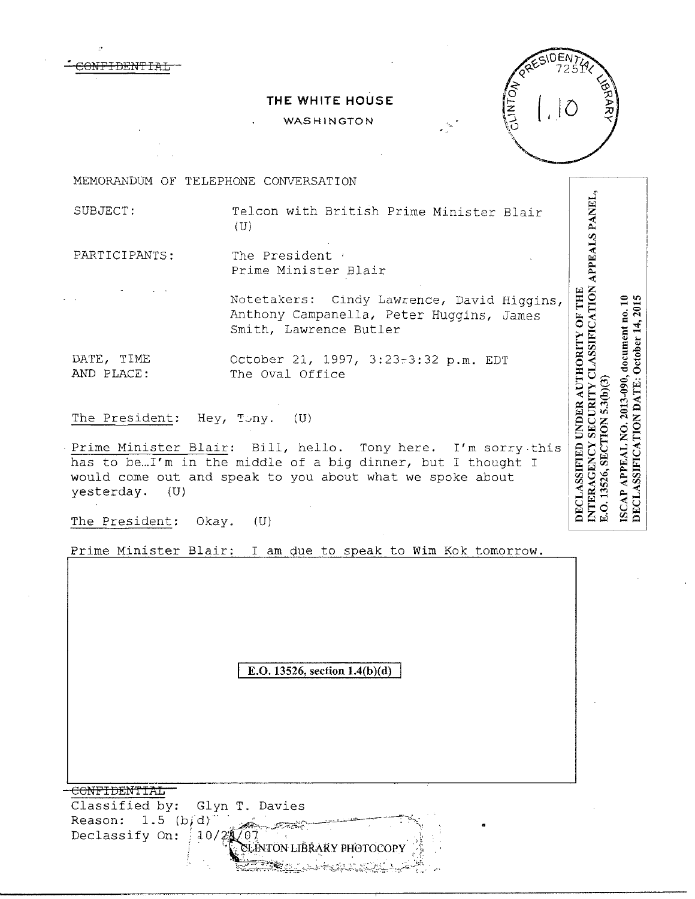

## WASHINGTON



**NTERAGENCY SECURITY CLASSIFICATION APPEALS PANEL** 

E.O. 13526, SECTION 5.3(b)(3)

ISCAP /

DECLASSIFICATION DATE: October 14, 2015 APPEAL NO. 2013-090, document no. 10

DECLASSIFIED UNDER AUTHORITY OF THE

MEMORANDUM OF TELEPHONE CONVERSATION

 $\epsilon$ ONFIDENTIAL

SUBJECT: Telcon with British Prime Minister Blair  $(U)$ 

PARTICIPANTS: The President Prime Minister Blair

> Notetakers: Cindy Lawrence, David Higgins, Anthony Campanella, Peter Huggins, James Smith, Lawrence Butler

DATE, TIME October 21, 1997, 3:23~3:32 p.m. EDT AND PLACE: The Oval Office

The President: Hey,  $T \cup ny$ . (U)

Prime Minister Blair: Bill, hello. Tony here. I'm sorry.this has to be... I'm in the middle of a big dinner, but I thought I would come out and speak to you about what we spoke about yesterday. (U)

The President: Okay. (U)

Prime Minister Blair: I am due to speak to Wim Kok tomorrow.

E.O. **13526, section l.4(b)(d)** 

CONFIDENTIAL Classified by: Glyn T. Davies Reason:  $1.5$  (b;d) *.*,~,h.ft'.7-i~;:·-··\_c"·~-=~~--~"'\: • Declassify On:  $10/2$ LINTON LIBRARY PHOTOCOP ~§~:;;:;=;~~~:~>,::..\_\_.;c ~i=-.~=;·~~;,\_k'o-:-;;;:'.:,:,:'~;~.}-:-:<:·.,:~·~r,\_~,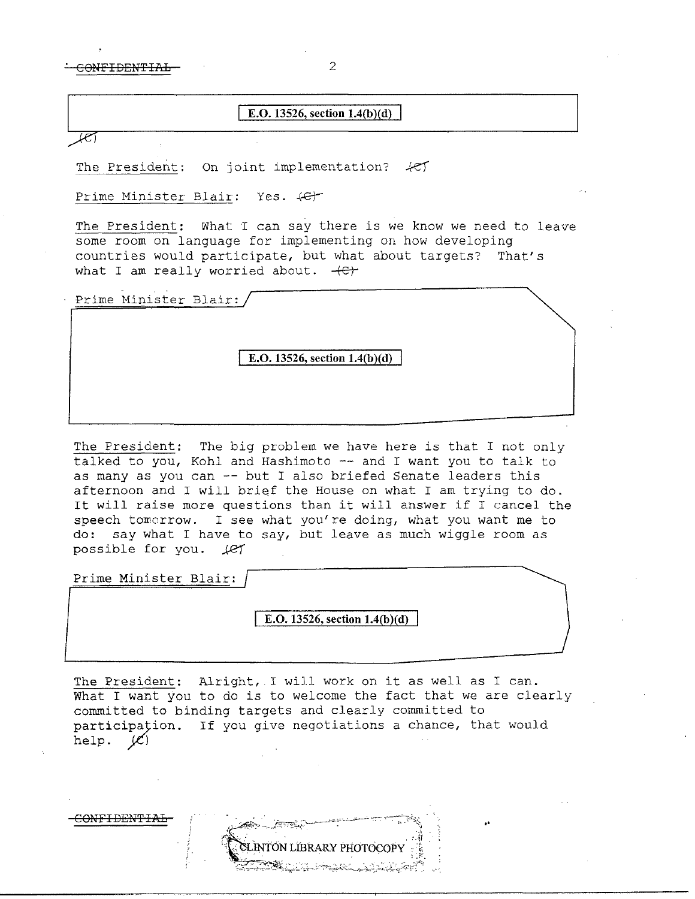$COMFIDENTIAL$  2

## **E.O. 13526, section l.4(b)(d)**

লে

The President: On joint implementation?  $\mathcal{H}$ 

Prime Minister Blair: Yes.  $\leftarrow$ 

The President: What *l* can say there is we know we need to leave some room on language for implementing on how developing countries would participate, but what about targets? That's what I am really worried about.  $+C$ 

Prime Minister Blair:

**E.O. 13526, section 1.4(b)(d)** 

The President: The big problem we have here is that I not only talked to you, Kohl and Hashimoto -- and I want you to talk to as many as you can -- but I also briefed Senate leaders this afternoon and I will brief the House on what I am trying to do. It will raise more questions than it will answer if I cancel the speech tomorrow. I see what you're doing, what you want me to do: say what I have to say, but leave as much wiggle room as possible for you. *jef* 

Prime Minister Blair:

C<del>ONFIDENTIA</del>

E.O. 13526, section 1.4(b)(d)

The President: Alright, I will work on it as well as I can. What I want you to do is to welcome the fact that we are clearly committed to binding targets and clearly committed to participațion. If you give negotiations a chance, that would help.  $\mathscr{L}$ 

INTON LIBRARY PHOTOCOP